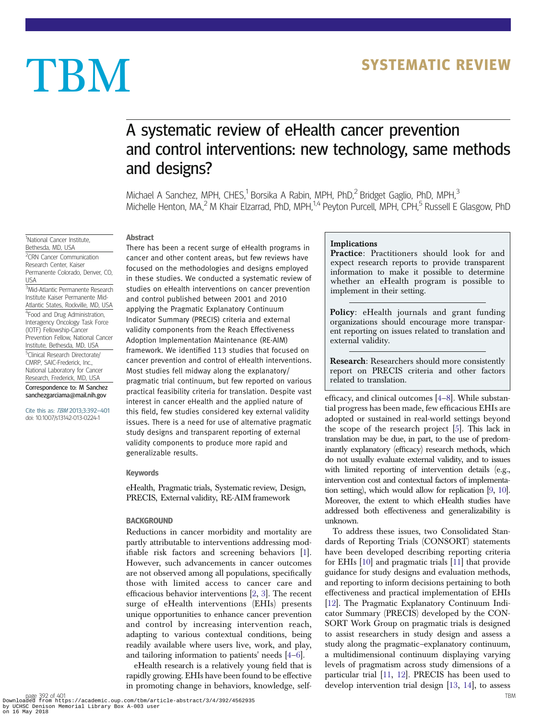# **TBM** SYSTEMATIC REVIEW

## A systematic review of eHealth cancer prevention and control interventions: new technology, same methods and designs?

Michael A Sanchez, MPH, CHES,<sup>1</sup> Borsika A Rabin, MPH, PhD,<sup>2</sup> Bridget Gaglio, PhD, MPH,<sup>3</sup> Michelle Henton, MA,<sup>2</sup> M Khair Elzarrad, PhD, MPH,<sup>1,4</sup> Peyton Purcell, MPH, CPH,<sup>5</sup> Russell E Glasgow, PhD

#### <sup>1</sup>National Cancer Institute, Bethesda, MD, USA

<sup>2</sup> CRN Cancer Communication Research Center, Kaiser Permanente Colorado, Denver, CO USA

3 Mid-Atlantic Permanente Research Institute Kaiser Permanente Mid-Atlantic States, Rockville, MD, USA <sup>4</sup> Food and Drug Administration, Interagency Oncology Task Force (IOTF) Fellowship-Cancer Prevention Fellow, National Cancer Institute, Bethesda, MD, USA 5 Clinical Research Directorate/ CMRP, SAIC-Frederick, Inc., National Laboratory for Cancer Research, Frederick, MD, USA Correspondence to: M Sanchez sanchezgarciama@mail.nih.gov

Cite this as: TBM 2013;3:392–401 doi: 10.1007/s13142-013-0224-1

#### Abstract

There has been a recent surge of eHealth programs in cancer and other content areas, but few reviews have focused on the methodologies and designs employed in these studies. We conducted a systematic review of studies on eHealth interventions on cancer prevention and control published between 2001 and 2010 applying the Pragmatic Explanatory Continuum Indicator Summary (PRECIS) criteria and external validity components from the Reach Effectiveness Adoption Implementation Maintenance (RE-AIM) framework. We identified 113 studies that focused on cancer prevention and control of eHealth interventions. Most studies fell midway along the explanatory/ pragmatic trial continuum, but few reported on various practical feasibility criteria for translation. Despite vast interest in cancer eHealth and the applied nature of this field, few studies considered key external validity issues. There is a need for use of alternative pragmatic study designs and transparent reporting of external validity components to produce more rapid and generalizable results.

#### Keywords

eHealth, Pragmatic trials, Systematic review, Design, PRECIS, External validity, RE-AIM framework

### **BACKGROUND**

Reductions in cancer morbidity and mortality are partly attributable to interventions addressing modifiable risk factors and screening behaviors [[1\]](#page-9-0). However, such advancements in cancer outcomes are not observed among all populations, specifically those with limited access to cancer care and efficacious behavior interventions [\[2,](#page-9-0) [3\]](#page-9-0). The recent surge of eHealth interventions (EHIs) presents unique opportunities to enhance cancer prevention and control by increasing intervention reach, adapting to various contextual conditions, being readily available where users live, work, and play, and tailoring information to patients' needs [[4](#page-9-0)–[6](#page-9-0)].

eHealth research is a relatively young field that is rapidly growing. EHIs have been found to be effective in promoting change in behaviors, knowledge, self-

#### Implications

Practice: Practitioners should look for and expect research reports to provide transparent information to make it possible to determine whether an eHealth program is possible to implement in their setting.

Policy: eHealth journals and grant funding organizations should encourage more transparent reporting on issues related to translation and external validity.

Research: Researchers should more consistently report on PRECIS criteria and other factors related to translation.

efficacy, and clinical outcomes [[4](#page-9-0)–[8](#page-9-0)]. While substantial progress has been made, few efficacious EHIs are adopted or sustained in real-world settings beyond the scope of the research project [\[5\]](#page-9-0). This lack in translation may be due, in part, to the use of predominantly explanatory (efficacy) research methods, which do not usually evaluate external validity, and to issues with limited reporting of intervention details (e.g., intervention cost and contextual factors of implementation setting), which would allow for replication [[9](#page-9-0), [10](#page-9-0)]. Moreover, the extent to which eHealth studies have addressed both effectiveness and generalizability is unknown.

To address these issues, two Consolidated Standards of Reporting Trials (CONSORT) statements have been developed describing reporting criteria for EHIs [[10](#page-9-0)] and pragmatic trials [[11](#page-9-0)] that provide guidance for study designs and evaluation methods, and reporting to inform decisions pertaining to both effectiveness and practical implementation of EHIs [[12](#page-9-0)]. The Pragmatic Explanatory Continuum Indicator Summary (PRECIS) developed by the CON-SORT Work Group on pragmatic trials is designed to assist researchers in study design and assess a study along the pragmatic–explanatory continuum, a multidimensional continuum displaying varying levels of pragmatism across study dimensions of a particular trial [[11](#page-9-0), [12\]](#page-9-0). PRECIS has been used to develop intervention trial design [[13](#page-9-0), [14\]](#page-9-0), to assess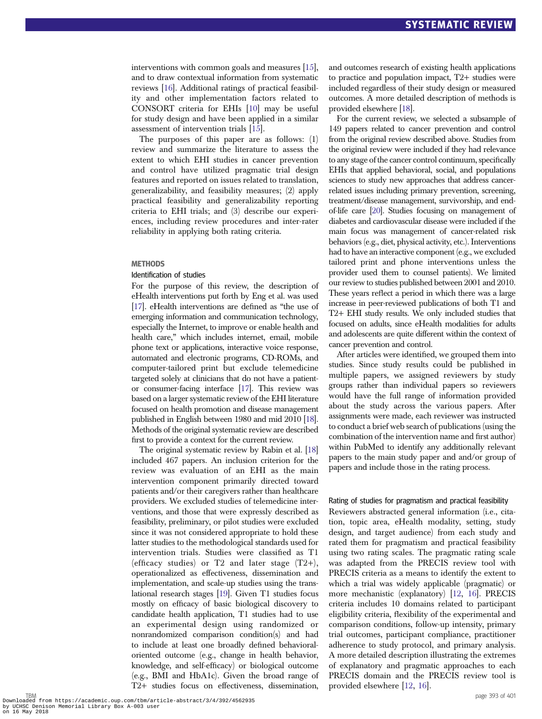interventions with common goals and measures [\[15](#page-9-0)], and to draw contextual information from systematic reviews [\[16\]](#page-9-0). Additional ratings of practical feasibility and other implementation factors related to CONSORT criteria for EHIs [\[10\]](#page-9-0) may be useful for study design and have been applied in a similar assessment of intervention trials [[15](#page-9-0)].

The purposes of this paper are as follows: (1) review and summarize the literature to assess the extent to which EHI studies in cancer prevention and control have utilized pragmatic trial design features and reported on issues related to translation, generalizability, and feasibility measures; (2) apply practical feasibility and generalizability reporting criteria to EHI trials; and (3) describe our experiences, including review procedures and inter-rater reliability in applying both rating criteria.

#### **METHODS**

#### Identification of studies

For the purpose of this review, the description of eHealth interventions put forth by Eng et al. was used [\[17](#page-9-0)]. eHealth interventions are defined as "the use of emerging information and communication technology, especially the Internet, to improve or enable health and health care," which includes internet, email, mobile phone text or applications, interactive voice response, automated and electronic programs, CD-ROMs, and computer-tailored print but exclude telemedicine targeted solely at clinicians that do not have a patientor consumer-facing interface [[17\]](#page-9-0). This review was based on a larger systematic review of the EHI literature focused on health promotion and disease management published in English between 1980 and mid 2010 [\[18](#page-9-0)]. Methods of the original systematic review are described first to provide a context for the current review.

The original systematic review by Rabin et al. [\[18](#page-9-0)] included 467 papers. An inclusion criterion for the review was evaluation of an EHI as the main intervention component primarily directed toward patients and/or their caregivers rather than healthcare providers. We excluded studies of telemedicine interventions, and those that were expressly described as feasibility, preliminary, or pilot studies were excluded since it was not considered appropriate to hold these latter studies to the methodological standards used for intervention trials. Studies were classified as T1 (efficacy studies) or  $T2$  and later stage  $(T2+)$ , operationalized as effectiveness, dissemination and implementation, and scale-up studies using the translational research stages [[19](#page-9-0)]. Given T1 studies focus mostly on efficacy of basic biological discovery to candidate health application, T1 studies had to use an experimental design using randomized or nonrandomized comparison condition(s) and had to include at least one broadly defined behavioraloriented outcome (e.g., change in health behavior, knowledge, and self-efficacy) or biological outcome (e.g., BMI and HbA1c). Given the broad range of T2+ studies focus on effectiveness, dissemination,

TBM page 393 of 401 Downloaded from https://academic.oup.com/tbm/article-abstract/3/4/392/4562935 by UCHSC Denison Memorial Library Box A-003 user on 16 May 2018

and outcomes research of existing health applications to practice and population impact, T2+ studies were included regardless of their study design or measured outcomes. A more detailed description of methods is provided elsewhere [\[18\]](#page-9-0).

For the current review, we selected a subsample of 149 papers related to cancer prevention and control from the original review described above. Studies from the original review were included if they had relevance to any stage of the cancer control continuum, specifically EHIs that applied behavioral, social, and populations sciences to study new approaches that address cancerrelated issues including primary prevention, screening, treatment/disease management, survivorship, and endof-life care [\[20\]](#page-9-0). Studies focusing on management of diabetes and cardiovascular disease were included if the main focus was management of cancer-related risk behaviors (e.g., diet, physical activity, etc.). Interventions had to have an interactive component (e.g., we excluded tailored print and phone interventions unless the provider used them to counsel patients). We limited our review to studies published between 2001 and 2010. These years reflect a period in which there was a large increase in peer-reviewed publications of both T1 and T2+ EHI study results. We only included studies that focused on adults, since eHealth modalities for adults and adolescents are quite different within the context of cancer prevention and control.

After articles were identified, we grouped them into studies. Since study results could be published in multiple papers, we assigned reviewers by study groups rather than individual papers so reviewers would have the full range of information provided about the study across the various papers. After assignments were made, each reviewer was instructed to conduct a brief web search of publications (using the combination of the intervention name and first author) within PubMed to identify any additionally relevant papers to the main study paper and and/or group of papers and include those in the rating process.

#### Rating of studies for pragmatism and practical feasibility

Reviewers abstracted general information (i.e., citation, topic area, eHealth modality, setting, study design, and target audience) from each study and rated them for pragmatism and practical feasibility using two rating scales. The pragmatic rating scale was adapted from the PRECIS review tool with PRECIS criteria as a means to identify the extent to which a trial was widely applicable (pragmatic) or more mechanistic (explanatory) [\[12](#page-9-0), [16\]](#page-9-0). PRECIS criteria includes 10 domains related to participant eligibility criteria, flexibility of the experimental and comparison conditions, follow-up intensity, primary trial outcomes, participant compliance, practitioner adherence to study protocol, and primary analysis. A more detailed description illustrating the extremes of explanatory and pragmatic approaches to each PRECIS domain and the PRECIS review tool is provided elsewhere [\[12](#page-9-0), [16](#page-9-0)].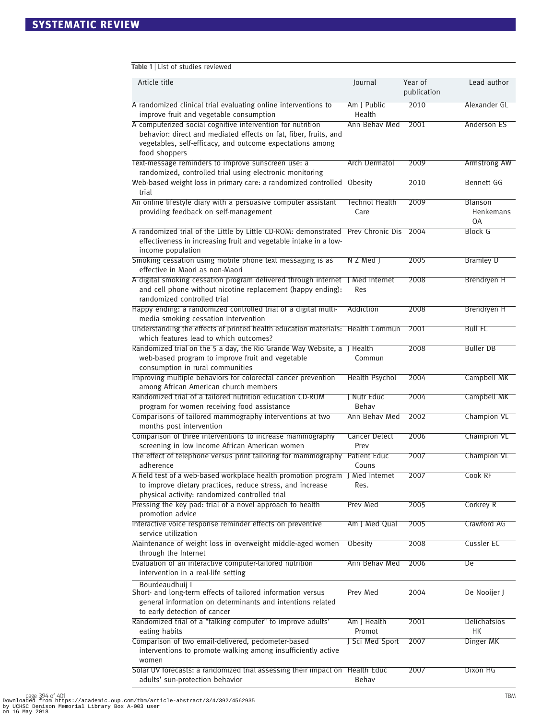<span id="page-2-0"></span>

| Table 1   List of studies reviewed                                                                                                                                                                           |                              |                        |                                          |
|--------------------------------------------------------------------------------------------------------------------------------------------------------------------------------------------------------------|------------------------------|------------------------|------------------------------------------|
| Article title                                                                                                                                                                                                | Journal                      | Year of<br>publication | Lead author                              |
| A randomized clinical trial evaluating online interventions to<br>improve fruit and vegetable consumption                                                                                                    | Am J Public<br>Health        | 2010                   | Alexander GL                             |
| A computerized social cognitive intervention for nutrition<br>behavior: direct and mediated effects on fat, fiber, fruits, and<br>vegetables, self-efficacy, and outcome expectations among<br>food shoppers | Ann Behav Med                | 2001                   | Anderson ES                              |
| Text-message reminders to improve sunscreen use: a<br>randomized, controlled trial using electronic monitoring                                                                                               | Arch Dermatol                | 2009                   | Armstrong AW                             |
| Web-based weight loss in primary care: a randomized controlled Obesity<br>trial                                                                                                                              |                              | 2010                   | <b>Bennett GG</b>                        |
| An online lifestyle diary with a persuasive computer assistant<br>providing feedback on self-management                                                                                                      | Technol Health<br>Care       | 2009                   | <b>Blanson</b><br>Henkemans<br><b>OA</b> |
| A randomized trial of the Little by Little CD-ROM: demonstrated Prev Chronic Dis<br>effectiveness in increasing fruit and vegetable intake in a low-<br>income population                                    |                              | 2004                   | Block G                                  |
| Smoking cessation using mobile phone text messaging is as<br>effective in Maori as non-Maori                                                                                                                 | N Z Med J                    | 2005                   | <b>Bramley D</b>                         |
| A digital smoking cessation program delivered through internet J Med Internet<br>and cell phone without nicotine replacement (happy ending):<br>randomized controlled trial                                  | Res                          | 2008                   | Brendryen H                              |
| Happy ending: a randomized controlled trial of a digital multi-<br>media smoking cessation intervention                                                                                                      | Addiction                    | 2008                   | Brendryen H                              |
| Understanding the effects of printed health education materials: Health Commun<br>which features lead to which outcomes?                                                                                     |                              | 2001                   | <b>Bull FC</b>                           |
| Randomized trial on the 5 a day, the Rio Grande Way Website, a J Health<br>web-based program to improve fruit and vegetable<br>consumption in rural communities                                              | Commun                       | 2008                   | <b>Buller DB</b>                         |
| Improving multiple behaviors for colorectal cancer prevention<br>among African American church members                                                                                                       | Health Psychol               | 2004                   | Campbell MK                              |
| Randomized trial of a tailored nutrition education CD-ROM<br>program for women receiving food assistance                                                                                                     | J Nutr Educ<br>Behav         | 2004                   | Campbell MK                              |
| Comparisons of tailored mammography interventions at two<br>months post intervention                                                                                                                         | Ann Behav Med                | 2002                   | Champion VL                              |
| Comparison of three interventions to increase mammography<br>screening in low income African American women                                                                                                  | <b>Cancer Detect</b><br>Prev | 2006                   | Champion VL                              |
| The effect of telephone versus print tailoring for mammography<br>adherence                                                                                                                                  | Patient Educ<br>Couns        | 2007                   | <b>Champion VL</b>                       |
| A field test of a web-based workplace health promotion program J Med Internet<br>to improve dietary practices, reduce stress, and increase<br>physical activity: randomized controlled trial                 | Res.                         | 2007                   | Cook RF                                  |
| Pressing the key pad: trial of a novel approach to health<br>promotion advice                                                                                                                                | Prev Med                     | 2005                   | Corkrey R                                |
| Interactive voice response reminder effects on preventive<br>service utilization                                                                                                                             | Am J Med Qual                | 2005                   | Crawford AG                              |
| Maintenance of weight loss in overweight middle-aged women<br>through the Internet                                                                                                                           | Obesity                      | 2008                   | Cussler EC                               |
| Evaluation of an interactive computer-tailored nutrition<br>intervention in a real-life setting                                                                                                              | Ann Behav Med                | 2006                   | De                                       |
| Bourdeaudhuij I<br>Short- and long-term effects of tailored information versus<br>general information on determinants and intentions related<br>to early detection of cancer                                 | Prev Med                     | 2004                   | De Nooijer J                             |
| Randomized trial of a "talking computer" to improve adults'<br>eating habits                                                                                                                                 | Am J Health<br>Promot        | 2001                   | Delichatsios<br><b>HK</b>                |
| Comparison of two email-delivered, pedometer-based<br>interventions to promote walking among insufficiently active<br>women                                                                                  | J Sci Med Sport              | 2007                   | Dinger MK                                |
| Solar UV forecasts: a randomized trial assessing their impact on<br>adults' sun-protection behavior                                                                                                          | Health Educ<br>Behav         | 2007                   | Dixon HG                                 |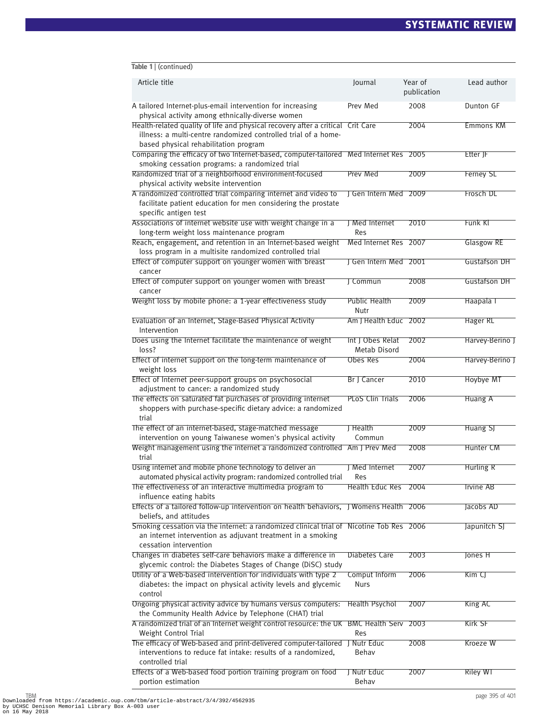| Table 1   (continued)                                                                                                                                                                      |                                  |                        |                  |
|--------------------------------------------------------------------------------------------------------------------------------------------------------------------------------------------|----------------------------------|------------------------|------------------|
| Article title                                                                                                                                                                              | Journal                          | Year of<br>publication | Lead author      |
| A tailored Internet-plus-email intervention for increasing<br>physical activity among ethnically-diverse women                                                                             | Prev Med                         | 2008                   | Dunton GF        |
| Health-related quality of life and physical recovery after a critical Crit Care<br>illness: a multi-centre randomized controlled trial of a home-<br>based physical rehabilitation program |                                  | 2004                   | Emmons KM        |
| Comparing the efficacy of two Internet-based, computer-tailored Med Internet Res 2005<br>smoking cessation programs: a randomized trial                                                    |                                  |                        | Etter JF         |
| Randomized trial of a neighborhood environment-focused<br>physical activity website intervention                                                                                           | Prev Med                         | 2009                   | <b>Ferney SL</b> |
| A randomized controlled trial comparing internet and video to<br>facilitate patient education for men considering the prostate<br>specific antigen test                                    | J Gen Intern Med 2009            |                        | Frosch DL        |
| Associations of internet website use with weight change in a<br>long-term weight loss maintenance program                                                                                  | J Med Internet<br>Res            | 2010                   | Funk Kl          |
| Reach, engagement, and retention in an Internet-based weight<br>loss program in a multisite randomized controlled trial                                                                    | Med Internet Res 2007            |                        | Glasgow RE       |
| Effect of computer support on younger women with breast<br>cancer                                                                                                                          | J Gen Intern Med 2001            |                        | Gustafson DH     |
| Effect of computer support on younger women with breast<br>cancer                                                                                                                          | J Commun                         | 2008                   | Gustafson DH     |
| Weight loss by mobile phone: a 1-year effectiveness study                                                                                                                                  | <b>Public Health</b><br>Nutr     | 2009                   | Haapala I        |
| Evaluation of an Internet, Stage-Based Physical Activity<br>Intervention                                                                                                                   | Am J Health Educ 2002            |                        | Hager RL         |
| Does using the Internet facilitate the maintenance of weight<br>loss?                                                                                                                      | Int J Obes Relat<br>Metab Disord | 2002                   | Harvey-Berino J  |
| Effect of internet support on the long-term maintenance of<br>weight loss                                                                                                                  | Obes Res                         | 2004                   | Harvey-Berino J  |
| Effect of Internet peer-support groups on psychosocial<br>adjustment to cancer: a randomized study                                                                                         | Br J Cancer                      | 2010                   | Hoybye MT        |
| The effects on saturated fat purchases of providing internet<br>shoppers with purchase-specific dietary advice: a randomized<br>trial                                                      | <b>PLoS Clin Trials</b>          | 2006                   | Huang A          |
| The effect of an internet-based, stage-matched message<br>intervention on young Taiwanese women's physical activity                                                                        | I Health<br>Commun               | 2009                   | Huang SJ         |
| Weight management using the internet a randomized controlled Am J Prev Med<br>trial                                                                                                        |                                  | 2008                   | Hunter CM        |
| Using internet and mobile phone technology to deliver an<br>automated physical activity program: randomized controlled trial                                                               | J Med Internet<br>Res            | 2007                   | Hurling R        |
| The effectiveness of an interactive multimedia program to<br>influence eating habits                                                                                                       | Health Educ Res                  | 2004                   | Irvine AB        |
| Effects of a tailored follow-up intervention on health behaviors, J Womens Health 2006<br>beliefs, and attitudes                                                                           |                                  |                        | Jacobs AD        |
| Smoking cessation via the internet: a randomized clinical trial of Nicotine Tob Res 2006<br>an internet intervention as adjuvant treatment in a smoking<br>cessation intervention          |                                  |                        | Japunitch SJ     |
| Changes in diabetes self-care behaviors make a difference in<br>glycemic control: the Diabetes Stages of Change (DiSC) study                                                               | Diabetes Care                    | 2003                   | Jones H          |
| Utility of a Web-based intervention for individuals with type 2<br>diabetes: the impact on physical activity levels and glycemic<br>control                                                | Comput Inform<br>Nurs            | 2006                   | Kim CJ           |
| Ongoing physical activity advice by humans versus computers:<br>the Community Health Advice by Telephone (CHAT) trial                                                                      | <b>Health Psychol</b>            | 2007                   | King AC          |
| A randomized trial of an Internet weight control resource: the UK BMC Health Serv<br>Weight Control Trial                                                                                  | Res                              | 2003                   | Kirk SF          |
| The efficacy of Web-based and print-delivered computer-tailored J Nutr Educ<br>interventions to reduce fat intake: results of a randomized,<br>controlled trial                            | Behav                            | 2008                   | Kroeze W         |
| Effects of a Web-based food portion training program on food<br>portion estimation                                                                                                         | J Nutr Educ<br>Behav             | 2007                   | Riley WT         |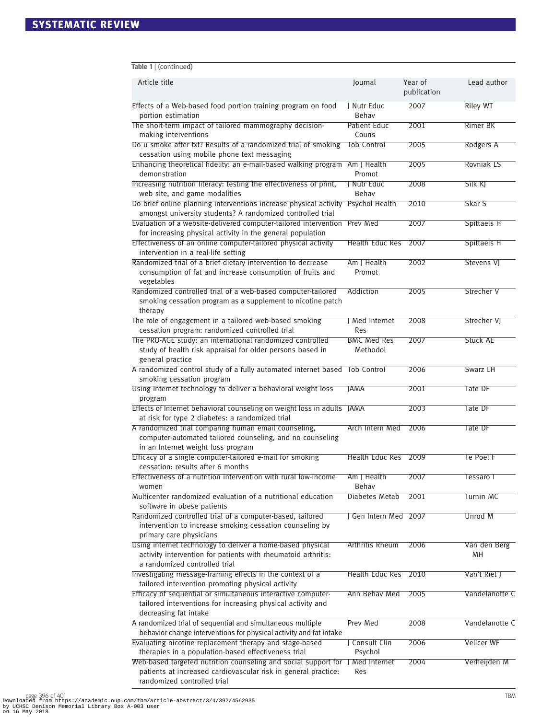| Table 1   (continued)                                                                                                                                           |                                |                        |                    |
|-----------------------------------------------------------------------------------------------------------------------------------------------------------------|--------------------------------|------------------------|--------------------|
| Article title                                                                                                                                                   | Journal                        | Year of<br>publication | Lead author        |
| Effects of a Web-based food portion training program on food<br>portion estimation                                                                              | J Nutr Educ<br>Behav           | 2007                   | Riley WT           |
| The short-term impact of tailored mammography decision-<br>making interventions                                                                                 | <b>Patient Educ</b><br>Couns   | 2001                   | Rimer BK           |
| Do u smoke after txt? Results of a randomized trial of smoking<br>cessation using mobile phone text messaging                                                   | <b>Tob Control</b>             | 2005                   | Rodgers A          |
| Enhancing theoretical fidelity: an e-mail-based walking program<br>demonstration                                                                                | Am J Health<br>Promot          | 2005                   | Rovniak LS         |
| Increasing nutrition literacy: testing the effectiveness of print,<br>web site, and game modalities                                                             | J Nutr Educ<br>Behav           | 2008                   | Silk KJ            |
| Do brief online planning interventions increase physical activity<br>amongst university students? A randomized controlled trial                                 | <b>Psychol Health</b>          | 2010                   | Skar S             |
| Evaluation of a website-delivered computer-tailored intervention Prev Med<br>for increasing physical activity in the general population                         |                                | 2007                   | Spittaels H        |
| Effectiveness of an online computer-tailored physical activity<br>intervention in a real-life setting                                                           | <b>Health Educ Res</b>         | 2007                   | Spittaels H        |
| Randomized trial of a brief dietary intervention to decrease<br>consumption of fat and increase consumption of fruits and<br>vegetables                         | Am J Health<br>Promot          | 2002                   | Stevens VJ         |
| Randomized controlled trial of a web-based computer-tailored<br>smoking cessation program as a supplement to nicotine patch<br>therapy                          | Addiction                      | 2005                   | Strecher V         |
| The role of engagement in a tailored web-based smoking<br>cessation program: randomized controlled trial                                                        | J Med Internet<br>Res          | 2008                   | Strecher VJ        |
| The PRO-AGE study: an international randomized controlled<br>study of health risk appraisal for older persons based in<br>general practice                      | <b>BMC Med Res</b><br>Methodol | 2007                   | <b>Stuck AE</b>    |
| A randomized control study of a fully automated internet based Tob Control<br>smoking cessation program                                                         |                                | 2006                   | Swarz LH           |
| Using Internet technology to deliver a behavioral weight loss<br>program                                                                                        | JAMA                           | 2001                   | Tate DF            |
| Effects of Internet behavioral counseling on weight loss in adults JAMA<br>at risk for type 2 diabetes: a randomized trial                                      |                                | 2003                   | Tate DF            |
| A randomized trial comparing human email counseling,<br>computer-automated tailored counseling, and no counseling<br>in an Internet weight loss program         | Arch Intern Med                | 2006                   | Tate DF            |
| Efficacy of a single computer-tailored e-mail for smoking<br>cessation: results after 6 months                                                                  | <b>Health Educ Res</b>         | 2009                   | Te Poel F          |
| Effectiveness of a nutrition intervention with rural low-income<br>women                                                                                        | Am J Health<br>Behav           | 2007                   | Tessaro I          |
| Multicenter randomized evaluation of a nutritional education<br>software in obese patients                                                                      | Diabetes Metab                 | 2001                   | Turnin MC          |
| Randomized controlled trial of a computer-based, tailored<br>intervention to increase smoking cessation counseling by<br>primary care physicians                | J Gen Intern Med 2007          |                        | Unrod M            |
| Using internet technology to deliver a home-based physical<br>activity intervention for patients with rheumatoid arthritis:<br>a randomized controlled trial    | Arthritis Rheum                | 2006                   | Van den Berg<br>MН |
| Investigating message-framing effects in the context of a<br>tailored intervention promoting physical activity                                                  | Health Educ Res                | 2010                   | Van't Riet J       |
| Efficacy of sequential or simultaneous interactive computer-<br>tailored interventions for increasing physical activity and<br>decreasing fat intake            | Ann Behav Med                  | 2005                   | Vandelanotte C     |
| A randomized trial of sequential and simultaneous multiple<br>behavior change interventions for physical activity and fat intake                                | Prev Med                       | 2008                   | Vandelanotte C     |
| Evaluating nicotine replacement therapy and stage-based<br>therapies in a population-based effectiveness trial                                                  | J Consult Clin<br>Psychol      | 2006                   | Velicer WF         |
| Web-based targeted nutrition counseling and social support for<br>patients at increased cardiovascular risk in general practice:<br>randomized controlled trial | J Med Internet<br>Res          | 2004                   | Verheijden M       |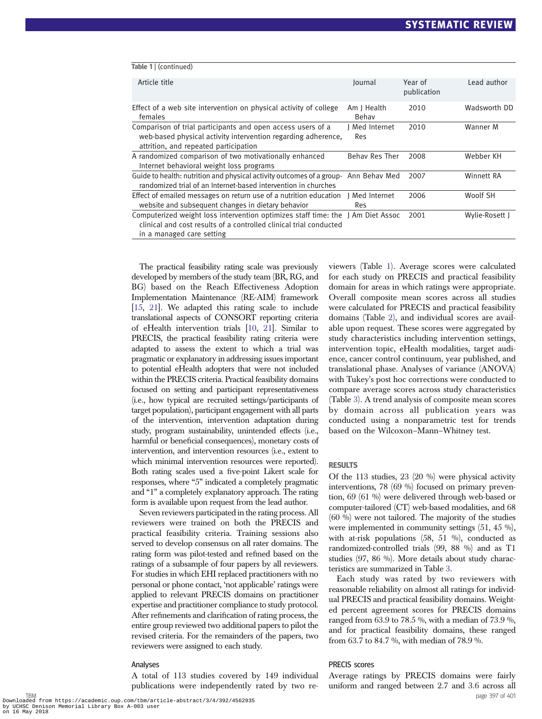| Table 1   (continued)                                                                                                                                                              |                       |                        |                |
|------------------------------------------------------------------------------------------------------------------------------------------------------------------------------------|-----------------------|------------------------|----------------|
| Article title                                                                                                                                                                      | lournal               | Year of<br>publication | Lead author    |
| Effect of a web site intervention on physical activity of college<br>females                                                                                                       | Am J Health<br>Behav  | 2010                   | Wadsworth DD   |
| Comparison of trial participants and open access users of a<br>web-based physical activity intervention regarding adherence,<br>attrition, and repeated participation              | I Med Internet<br>Res | 2010                   | Wanner M       |
| A randomized comparison of two motivationally enhanced<br>Internet behavioral weight loss programs                                                                                 | Behav Res Ther        | 2008                   | Webber KH      |
| Guide to health: nutrition and physical activity outcomes of a group- Ann Behav Med<br>randomized trial of an Internet-based intervention in churches                              |                       | 2007                   | Winnett RA     |
| Effect of emailed messages on return use of a nutrition education<br>website and subsequent changes in dietary behavior                                                            | I Med Internet<br>Res | 2006                   | Woolf SH       |
| Computerized weight loss intervention optimizes staff time: the J Am Diet Assoc<br>clinical and cost results of a controlled clinical trial conducted<br>in a managed care setting |                       | 2001                   | Wylie-Rosett J |

The practical feasibility rating scale was previously developed by members of the study team (BR, RG, and BG) based on the Reach Effectiveness Adoption Implementation Maintenance (RE-AIM) framework [\[15,](#page-9-0) [21\]](#page-9-0). We adapted this rating scale to include translational aspects of CONSORT reporting criteria of eHealth intervention trials [\[10,](#page-9-0) [21](#page-9-0)]. Similar to PRECIS, the practical feasibility rating criteria were adapted to assess the extent to which a trial was pragmatic or explanatory in addressing issues important to potential eHealth adopters that were not included within the PRECIS criteria. Practical feasibility domains focused on setting and participant representativeness (i.e., how typical are recruited settings/participants of target population), participant engagement with all parts of the intervention, intervention adaptation during study, program sustainability, unintended effects (i.e., harmful or beneficial consequences), monetary costs of intervention, and intervention resources (i.e., extent to which minimal intervention resources were reported). Both rating scales used a five-point Likert scale for responses, where "5" indicated a completely pragmatic and "1" a completely explanatory approach. The rating form is available upon request from the lead author.

Seven reviewers participated in the rating process. All reviewers were trained on both the PRECIS and practical feasibility criteria. Training sessions also served to develop consensus on all rater domains. The rating form was pilot-tested and refined based on the ratings of a subsample of four papers by all reviewers. For studies in which EHI replaced practitioners with no personal or phone contact, 'not applicable' ratings were applied to relevant PRECIS domains on practitioner expertise and practitioner compliance to study protocol. After refinements and clarification of rating process, the entire group reviewed two additional papers to pilot the revised criteria. For the remainders of the papers, two reviewers were assigned to each study.

#### Analyses

A total of 113 studies covered by 149 individual publications were independently rated by two reviewers (Table [1\)](#page-2-0). Average scores were calculated for each study on PRECIS and practical feasibility domain for areas in which ratings were appropriate. Overall composite mean scores across all studies were calculated for PRECIS and practical feasibility domains (Table [2\)](#page-6-0), and individual scores are available upon request. These scores were aggregated by study characteristics including intervention settings, intervention topic, eHealth modalities, target audience, cancer control continuum, year published, and translational phase. Analyses of variance (ANOVA) with Tukey's post hoc corrections were conducted to compare average scores across study characteristics (Table [3](#page-8-0)). A trend analysis of composite mean scores by domain across all publication years was conducted using a nonparametric test for trends based on the Wilcoxon–Mann–Whitney test.

#### RESULTS

Of the 113 studies, 23 (20 %) were physical activity interventions, 78 (69 %) focused on primary prevention, 69 (61 %) were delivered through web-based or computer-tailored (CT) web-based modalities, and 68 (60 %) were not tailored. The majority of the studies were implemented in community settings (51, 45 %), with at-risk populations  $(58, 51 \%)$ , conducted as randomized-controlled trials (99, 88 %) and as T1 studies (97, 86 %). More details about study characteristics are summarized in Table [3.](#page-8-0)

Each study was rated by two reviewers with reasonable reliability on almost all ratings for individual PRECIS and practical feasibility domains. Weighted percent agreement scores for PRECIS domains ranged from 63.9 to 78.5 %, with a median of 73.9 %, and for practical feasibility domains, these ranged from 63.7 to 84.7 %, with median of 78.9 %.

#### PRECIS scores

Average ratings by PRECIS domains were fairly uniform and ranged between 2.7 and 3.6 across all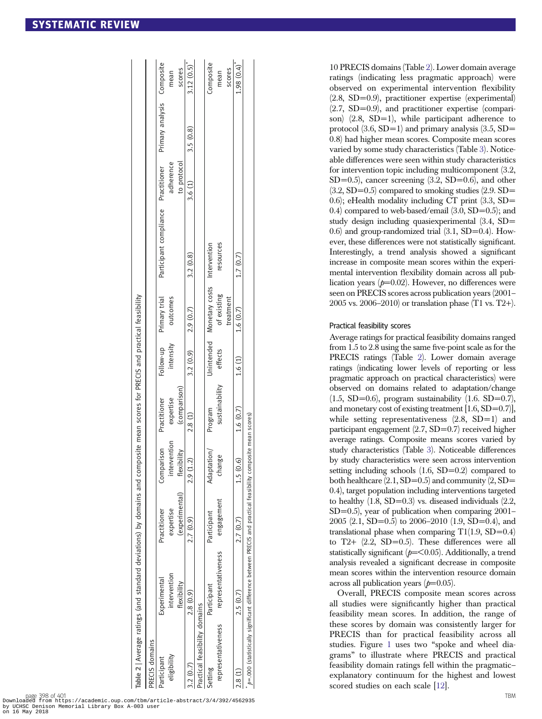<span id="page-6-0"></span>

|                               | Table 2   Average ratings (and standard deviations) by domains and composite mean scores for PRECIS and practical feasibility |                |                 |                |                       |                                        |                                     |             |                            |                 |
|-------------------------------|-------------------------------------------------------------------------------------------------------------------------------|----------------|-----------------|----------------|-----------------------|----------------------------------------|-------------------------------------|-------------|----------------------------|-----------------|
| PRECIS domains                |                                                                                                                               |                |                 |                |                       |                                        |                                     |             |                            |                 |
| Participant                   | Experimental                                                                                                                  | Practitioner   | Comparison      | Practitioner   |                       | Follow-up Primary trial                | Participant compliance Practitioner |             | Primary analysis Composite |                 |
| eligibility                   | intervention                                                                                                                  | expertise      | tervention<br>Ξ | expertise      | intensity             | outcomes                               |                                     | adherence   |                            | mean            |
|                               | flexibility                                                                                                                   | (experimental) | flexibility     | (comparison)   |                       |                                        |                                     | to protocol |                            | scores          |
| 3.2(0.7)                      | 2.8(0.9)                                                                                                                      | 2.7(0.9)       | (1.2)<br>2.9    | 2.8(1)         | $3.2(0.9)$ $2.9(0.7)$ |                                        | 3.2(0.8)                            | 3.6 (1)     | 3.5(0.8)                   | $3.12(0.5)^*$   |
| Practical feasibility domains |                                                                                                                               |                |                 |                |                       |                                        |                                     |             |                            |                 |
| Setting                       | Participant                                                                                                                   | Participant    | Adaptation/     | Program        |                       | Unintended Monetary costs Intervention |                                     |             |                            | Composite       |
| representativeness            | representativeness                                                                                                            | engagement     | change          | sustainability | effects               | of existing                            | resources                           |             |                            | mean            |
|                               |                                                                                                                               |                |                 |                |                       | treatment                              |                                     |             |                            | Scores          |
| .8(1)                         | 2.5(0.7)                                                                                                                      | 2.7(0.7)       | (9.6)<br>1.5    | 1.6(0.7)       | 1.6(1)                | 1.6(0.7)                               | 1.7(0.7)                            |             |                            | $1.98(0.4)^{*}$ |
|                               | $p$ =.000 (statistically significant difference between PRECIS and practical feasibility composite mean scores)               |                |                 |                |                       |                                        |                                     |             |                            |                 |

10 PRECIS domains (Table 2). Lower domain average ratings (indicating less pragmatic approach) were observed on experimental intervention flexibility (2.8, SD=0.9), practitioner expertise (experimental) (2.7, SD=0.9), and practitioner expertise (comparison)  $(2.8, SD=1)$ , while participant adherence to protocol  $(3.6, SD=1)$  and primary analysis  $(3.5, SD=$ 0.8) had higher mean scores. Composite mean scores varied by some study characteristics (Table [3\)](#page-8-0). Noticeable differences were seen within study characteristics for intervention topic including multicomponent (3.2,  $SD=0.5$ , cancer screening  $(3.2, SD=0.6)$ , and other  $(3.2, SD=0.5)$  compared to smoking studies  $(2.9, SD=0.5)$ 0.6); eHealth modality including CT print (3.3, SD= 0.4) compared to web-based/email  $(3.0, SD=0.5)$ ; and study design including quasiexperimental (3.4, SD= 0.6) and group-randomized trial  $(3.1, SD=0.4)$ . However, these differences were not statistically significant. Interestingly, a trend analysis showed a significant increase in composite mean scores within the experimental intervention flexibility domain across all publication years  $(p=0.02)$ . However, no differences were seen on PRECIS scores across publication years (2001– 2005 vs. 2006–2010) or translation phase (T1 vs. T2+).

#### Practical feasibility scores

Average ratings for practical feasibility domains ranged from 1.5 to 2.8 using the same five-point scale as for the PRECIS ratings (Table 2). Lower domain average ratings (indicating lower levels of reporting or less pragmatic approach on practical characteristics) were observed on domains related to adaptation/change  $(1.5, SD=0.6)$ , program sustainability  $(1.6, SD=0.7)$ , and monetary cost of existing treatment  $[1.6, SD=0.7]$ , while setting representativeness  $(2.8, SD=1)$  and participant engagement (2.7, SD=0.7) received higher average ratings. Composite means scores varied by study characteristics (Table [3\)](#page-8-0). Noticeable differences by study characteristics were seen across intervention setting including schools (1.6, SD=0.2) compared to both healthcare  $(2.1, SD=0.5)$  and community  $(2, SD=0.5)$ 0.4), target population including interventions targeted to healthy  $(1.8, SD=0.3)$  vs. diseased individuals  $(2.2,$ SD=0.5), year of publication when comparing 2001–  $2005$  (2.1, SD=0.5) to 2006–2010 (1.9, SD=0.4), and translational phase when comparing  $T1(1.9, SD=0.4)$ to T2+  $(2.2, SD=0.5)$ . These differences were all statistically significant  $(p=\leq 0.05)$ . Additionally, a trend analysis revealed a significant decrease in composite mean scores within the intervention resource domain across all publication years  $(p=0.05)$ .

Overall, PRECIS composite mean scores across all studies were significantly higher than practical feasibility mean scores. In addition, the range of these scores by domain was consistently larger for PRECIS than for practical feasibility across all studies. Figure [1](#page-7-0) uses two "spoke and wheel diagrams" to illustrate where PRECIS and practical feasibility domain ratings fell within the pragmatic– explanatory continuum for the highest and lowest scored studies on each scale [\[12\]](#page-9-0).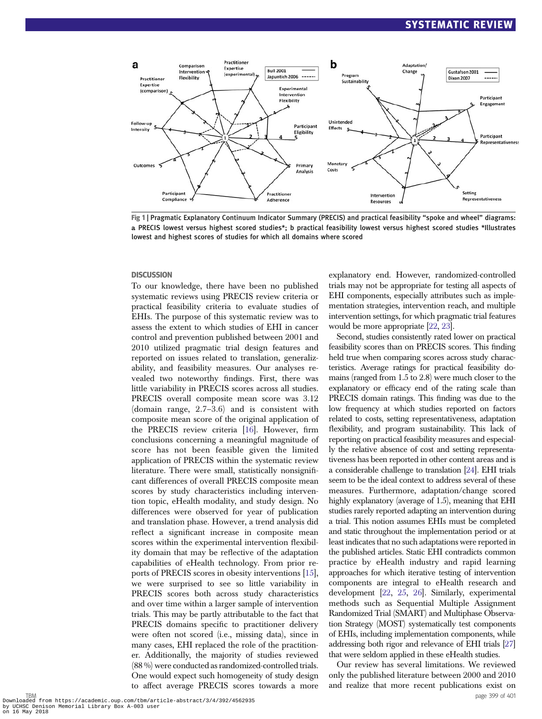<span id="page-7-0"></span>

Fig 1 | Pragmatic Explanatory Continuum Indicator Summary (PRECIS) and practical feasibility "spoke and wheel" diagrams: a PRECIS lowest versus highest scored studies\*; b practical feasibility lowest versus highest scored studies \*Illustrates lowest and highest scores of studies for which all domains where scored

#### **DISCUSSION**

To our knowledge, there have been no published systematic reviews using PRECIS review criteria or practical feasibility criteria to evaluate studies of EHIs. The purpose of this systematic review was to assess the extent to which studies of EHI in cancer control and prevention published between 2001 and 2010 utilized pragmatic trial design features and reported on issues related to translation, generalizability, and feasibility measures. Our analyses revealed two noteworthy findings. First, there was little variability in PRECIS scores across all studies. PRECIS overall composite mean score was 3.12 (domain range, 2.7–3.6) and is consistent with composite mean score of the original application of the PRECIS review criteria [\[16\]](#page-9-0). However, firm conclusions concerning a meaningful magnitude of score has not been feasible given the limited application of PRECIS within the systematic review literature. There were small, statistically nonsignificant differences of overall PRECIS composite mean scores by study characteristics including intervention topic, eHealth modality, and study design. No differences were observed for year of publication and translation phase. However, a trend analysis did reflect a significant increase in composite mean scores within the experimental intervention flexibility domain that may be reflective of the adaptation capabilities of eHealth technology. From prior reports of PRECIS scores in obesity interventions [\[15](#page-9-0)], we were surprised to see so little variability in PRECIS scores both across study characteristics and over time within a larger sample of intervention trials. This may be partly attributable to the fact that PRECIS domains specific to practitioner delivery were often not scored (i.e., missing data), since in many cases, EHI replaced the role of the practitioner. Additionally, the majority of studies reviewed (88 %) were conducted as randomized-controlled trials. One would expect such homogeneity of study design to affect average PRECIS scores towards a more

explanatory end. However, randomized-controlled trials may not be appropriate for testing all aspects of EHI components, especially attributes such as implementation strategies, intervention reach, and multiple intervention settings, for which pragmatic trial features would be more appropriate [\[22,](#page-9-0) [23\]](#page-9-0).

Second, studies consistently rated lower on practical feasibility scores than on PRECIS scores. This finding held true when comparing scores across study characteristics. Average ratings for practical feasibility domains (ranged from 1.5 to 2.8) were much closer to the explanatory or efficacy end of the rating scale than PRECIS domain ratings. This finding was due to the low frequency at which studies reported on factors related to costs, setting representativeness, adaptation flexibility, and program sustainability. This lack of reporting on practical feasibility measures and especially the relative absence of cost and setting representativeness has been reported in other content areas and is a considerable challenge to translation [\[24\]](#page-9-0). EHI trials seem to be the ideal context to address several of these measures. Furthermore, adaptation/change scored highly explanatory (average of 1.5), meaning that EHI studies rarely reported adapting an intervention during a trial. This notion assumes EHIs must be completed and static throughout the implementation period or at least indicates that no such adaptations were reported in the published articles. Static EHI contradicts common practice by eHealth industry and rapid learning approaches for which iterative testing of intervention components are integral to eHealth research and development [\[22](#page-9-0), [25,](#page-9-0) [26\]](#page-9-0). Similarly, experimental methods such as Sequential Multiple Assignment Randomized Trial (SMART) and Multiphase Observation Strategy (MOST) systematically test components of EHIs, including implementation components, while addressing both rigor and relevance of EHI trials [\[27](#page-9-0)] that were seldom applied in these eHealth studies.

Our review has several limitations. We reviewed only the published literature between 2000 and 2010 and realize that more recent publications exist on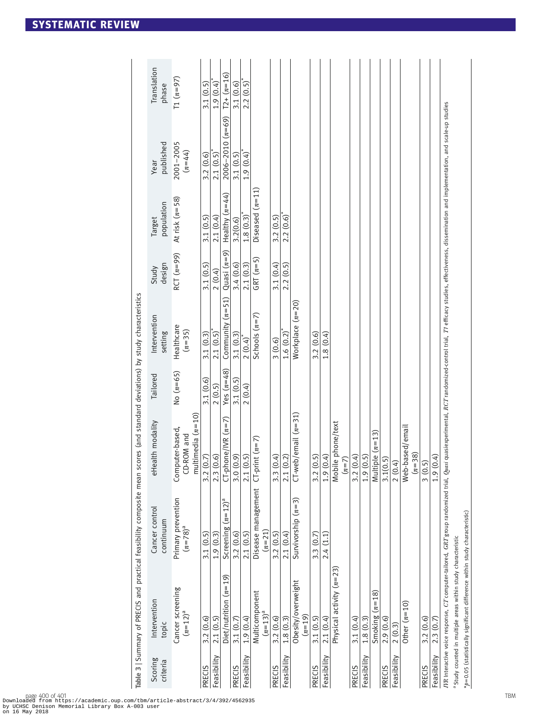<span id="page-8-0"></span>

|                       | Table 3   Summary of PRECIS and practical feasibility composite mean scores (and standard deviations) by study characteristics                                     |                                  |                                                      |                          |                                 |                           |                               |                                                                                                                                             |                               |
|-----------------------|--------------------------------------------------------------------------------------------------------------------------------------------------------------------|----------------------------------|------------------------------------------------------|--------------------------|---------------------------------|---------------------------|-------------------------------|---------------------------------------------------------------------------------------------------------------------------------------------|-------------------------------|
| Scoring<br>criteria   | Intervention<br>topic                                                                                                                                              | Cancer control<br>continuum      | eHealth modality                                     | Tailored                 | Intervention<br>setting         | Study<br>design           | population<br>Target          | published<br>Year                                                                                                                           | Translation<br>phase          |
|                       | Cancer screening<br>$(n=12)^a$                                                                                                                                     | Primary prevention $(n=78)^a$    | multimedia $(n=10)$<br>Computer-based,<br>CD-ROM and | No $(n=65)$              | Healthcare<br>$(n=35)$          | RCT $(n=99)$              | At risk $(n=58)$              | $2001 - 2005$<br>$(n=44)$                                                                                                                   | $[1 (n=97)]$                  |
| Feasibility<br>PRECIS | 3.2(0.6)<br>2.1(0.5)                                                                                                                                               | 3.1(0.5)<br>1.9(0.3)             | 3.2(0.7)<br>2.3(0.6)                                 | 3.1(0.6)<br>2(0.5)       | 2.1 (0.5)<br>3.1(0.3)           | 3.1(0.5)<br>2(0.4)        | 3.1(0.5)<br>2.1(0.4)          | 2.1 (0.5)<br>3.2(0.6)                                                                                                                       | 1.9(0.4)<br>3.1(0.5)          |
| PRECIS                | $Diet/nutrition (n=19)$<br>3.1(0.7)                                                                                                                                | Screening $(n=12)^a$<br>3.2(0.6) | CT-phone/IVR (n=7)<br>3.0(0.9)                       | Yes $(n=48)$<br>3.1(0.5) | Community $(n=51)$<br>3.1(0.3)  | Quasi $(n=9)$<br>3.4(0.6) | Healthy $(n=44)$<br>3.2(0.6)  | $2006 - 2010$ $(n=69)$<br>3.1(0.5)                                                                                                          | $T_{2+}$ $(n=16)$<br>3.1(0.6) |
| Feasibility           | 1.9(0.4)                                                                                                                                                           | Disease management<br>2.1(0.5)   | $(T$ -print $(n=7)$<br>2.1(0.5)                      | 2(0.4)                   | Schools $(n=7)$<br>$2(0.4)^{*}$ | GRT $(n=5)$<br>2.1(0.3)   | Diseased $(n=11)$<br>1.8(0.3) | 1.9(0.4)                                                                                                                                    | 2.2(0.5)                      |
|                       | Multicomponent $(n=13)^a$                                                                                                                                          | $(n=21)$                         |                                                      |                          |                                 |                           |                               |                                                                                                                                             |                               |
| PRECIS                | 3.2(0.6)                                                                                                                                                           | 3.2(0.5)                         | 3.3 (0.4)                                            |                          | 3(0.6)                          | 3.1(0.4)                  | 3.2(0.5)                      |                                                                                                                                             |                               |
| Feasibility           | 1.8(0.3)                                                                                                                                                           | 2.1(0.4)                         | 2.1(0.2)                                             |                          | 1.6(0.2)                        | 2.2(0.5)                  | 2.2(0.6)                      |                                                                                                                                             |                               |
|                       | Obesity/overweight<br>$(n=19)$                                                                                                                                     | Survivorship $(n=3)$             | $CT$ -web/email $(n=31)$                             |                          | Workplace $(n=20)$              |                           |                               |                                                                                                                                             |                               |
| PRECIS                | 3.1(0.5)                                                                                                                                                           | 3.3(0.7)                         | 3.2(0.5)                                             |                          | 3.2(0.6)                        |                           |                               |                                                                                                                                             |                               |
| Feasibility           | 2.1(0.4)                                                                                                                                                           | 2.4(1.1)                         | 1.9(0.4)                                             |                          | 1.8(0.4)                        |                           |                               |                                                                                                                                             |                               |
|                       | Physical activity $(n=23)$                                                                                                                                         |                                  | Mobile phone/text<br>$(n = 7)$                       |                          |                                 |                           |                               |                                                                                                                                             |                               |
| PRECIS                | 3.1 $(0.4)$                                                                                                                                                        |                                  | 3.2(0.4)                                             |                          |                                 |                           |                               |                                                                                                                                             |                               |
| Feasibility           | 1.8(0.3)                                                                                                                                                           |                                  | 1.9(0.5)                                             |                          |                                 |                           |                               |                                                                                                                                             |                               |
|                       | Smoking $(n=18)$                                                                                                                                                   |                                  | Multiple $(n=13)$                                    |                          |                                 |                           |                               |                                                                                                                                             |                               |
| PRECIS                | 2.9(0.6)                                                                                                                                                           |                                  | 3.1(0.5)                                             |                          |                                 |                           |                               |                                                                                                                                             |                               |
| Feasibility           | 2(0.3)                                                                                                                                                             |                                  | 2(0.4)                                               |                          |                                 |                           |                               |                                                                                                                                             |                               |
|                       | Other $(n=10)$                                                                                                                                                     |                                  | Web-based/email<br>$(n=38)$                          |                          |                                 |                           |                               |                                                                                                                                             |                               |
| PRECIS                | 3.2(0.6)                                                                                                                                                           |                                  | 3(0.5)                                               |                          |                                 |                           |                               |                                                                                                                                             |                               |
| Feasibility           | 2.3(0.7)                                                                                                                                                           |                                  | È,<br>1.9(0)                                         |                          |                                 |                           |                               |                                                                                                                                             |                               |
|                       | IVR Interactive voice response, CT computer-tailored, GRT group randomized trial, $Q_{\mu a s i}$<br>a Study counted in multiple areas within study characteristic |                                  |                                                      |                          |                                 |                           |                               | quasiexperimental, RCT randomized-control trial, T7 efficacy studies, effectiveness, dissemination and implementation, and scale-up studies |                               |

page 400 of 401<br>Downloaded from https://academic.oup.com/tbm/article-abstract/3/4/392/4562935<br>by UCHSC Denison Memorial Library Box A-003 user<br>on 16 May 2018

 $*p=0.05$  (statistically significant difference within study characteristic)

 $*_{p=0.05}$  (statistically significant difference within study characteristic)